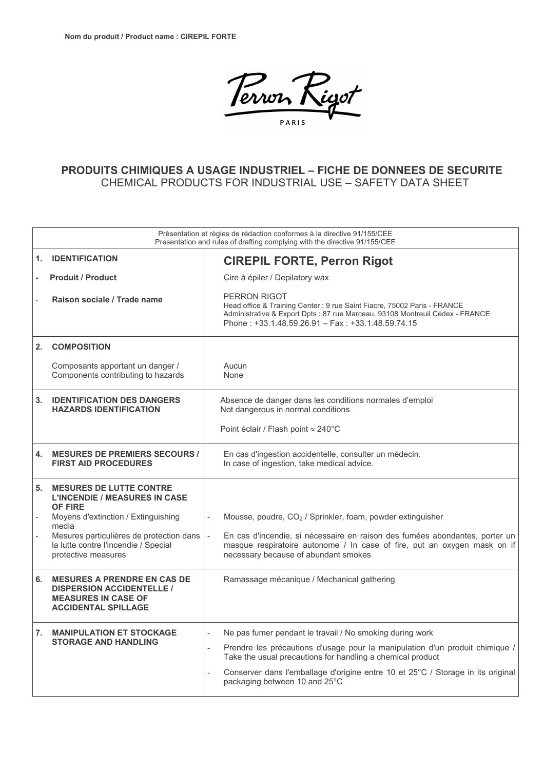

## PRODUITS CHIMIQUES A USAGE INDUSTRIEL - FICHE DE DONNEES DE SECURITE CHEMICAL PRODUCTS FOR INDUSTRIAL USE - SAFETY DATA SHEET

|    | Présentation et règles de rédaction conformes à la directive 91/155/CEE<br>Presentation and rules of drafting complying with the directive 91/155/CEE                                                                                               |                                                                                                                                                                                                                                                                                                                            |  |  |  |  |
|----|-----------------------------------------------------------------------------------------------------------------------------------------------------------------------------------------------------------------------------------------------------|----------------------------------------------------------------------------------------------------------------------------------------------------------------------------------------------------------------------------------------------------------------------------------------------------------------------------|--|--|--|--|
| 1. | <b>IDENTIFICATION</b>                                                                                                                                                                                                                               | <b>CIREPIL FORTE, Perron Rigot</b>                                                                                                                                                                                                                                                                                         |  |  |  |  |
|    | <b>Produit / Product</b>                                                                                                                                                                                                                            | Cire à épiler / Depilatory wax                                                                                                                                                                                                                                                                                             |  |  |  |  |
|    | Raison sociale / Trade name                                                                                                                                                                                                                         | <b>PERRON RIGOT</b><br>Head office & Training Center: 9 rue Saint Fiacre, 75002 Paris - FRANCE<br>Administrative & Export Dpts : 87 rue Marceau, 93108 Montreuil Cédex - FRANCE<br>Phone: +33.1.48.59.26.91 - Fax: +33.1.48.59.74.15                                                                                       |  |  |  |  |
| 2. | <b>COMPOSITION</b>                                                                                                                                                                                                                                  |                                                                                                                                                                                                                                                                                                                            |  |  |  |  |
|    | Composants apportant un danger /<br>Components contributing to hazards                                                                                                                                                                              | Aucun<br>None                                                                                                                                                                                                                                                                                                              |  |  |  |  |
| 3. | <b>IDENTIFICATION DES DANGERS</b><br><b>HAZARDS IDENTIFICATION</b>                                                                                                                                                                                  | Absence de danger dans les conditions normales d'emploi<br>Not dangerous in normal conditions                                                                                                                                                                                                                              |  |  |  |  |
|    |                                                                                                                                                                                                                                                     | Point éclair / Flash point ≈ 240°C                                                                                                                                                                                                                                                                                         |  |  |  |  |
| 4. | <b>MESURES DE PREMIERS SECOURS /</b><br><b>FIRST AID PROCEDURES</b>                                                                                                                                                                                 | En cas d'ingestion accidentelle, consulter un médecin.<br>In case of ingestion, take medical advice.                                                                                                                                                                                                                       |  |  |  |  |
| 5. | <b>MESURES DE LUTTE CONTRE</b><br><b>L'INCENDIE / MEASURES IN CASE</b><br><b>OF FIRE</b><br>Moyens d'extinction / Extinguishing<br>media<br>Mesures particulières de protection dans<br>la lutte contre l'incendie / Special<br>protective measures | Mousse, poudre, CO <sub>2</sub> / Sprinkler, foam, powder extinguisher<br>$\overline{\phantom{m}}$<br>En cas d'incendie, si nécessaire en raison des fumées abondantes, porter un<br>$\sim$<br>masque respiratoire autonome / In case of fire, put an oxygen mask on if<br>necessary because of abundant smokes            |  |  |  |  |
| 6. | <b>MESURES A PRENDRE EN CAS DE</b><br><b>DISPERSION ACCIDENTELLE /</b><br><b>MEASURES IN CASE OF</b><br><b>ACCIDENTAL SPILLAGE</b>                                                                                                                  | Ramassage mécanique / Mechanical gathering                                                                                                                                                                                                                                                                                 |  |  |  |  |
|    | 7. MANIPULATION ET STOCKAGE<br><b>STORAGE AND HANDLING</b>                                                                                                                                                                                          | Ne pas fumer pendant le travail / No smoking during work<br>Prendre les précautions d'usage pour la manipulation d'un produit chimique /<br>Take the usual precautions for handling a chemical product<br>Conserver dans l'emballage d'origine entre 10 et 25°C / Storage in its original<br>packaging between 10 and 25°C |  |  |  |  |